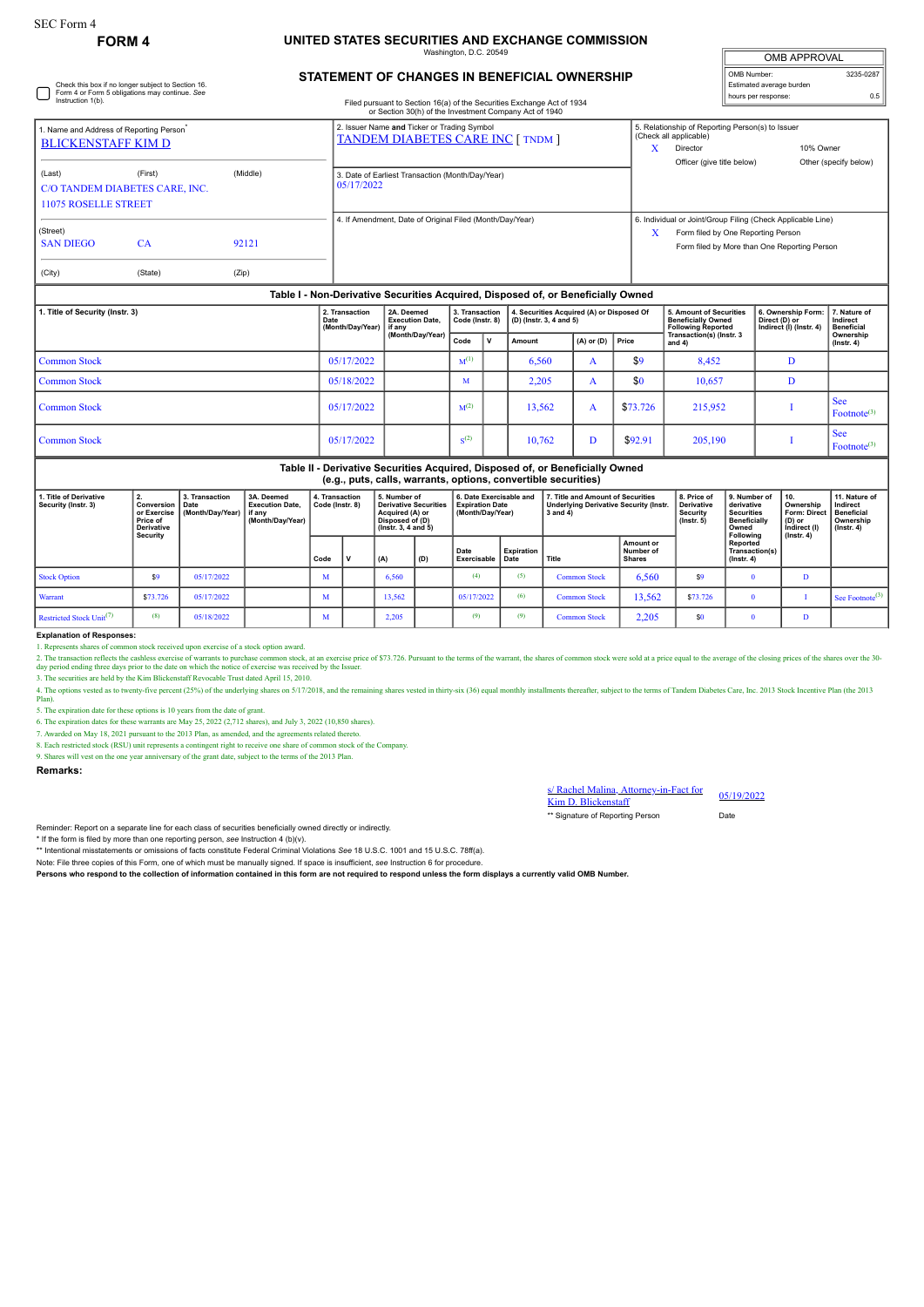Check this box if no longer subject to Section 16. Form 4 or Form 5 obligations may continue. *See* Instruction 1(b).

## **FORM 4 UNITED STATES SECURITIES AND EXCHANGE COMMISSION**

hatı

| <b>OMB APPROVAL</b>      |           |  |  |  |  |  |  |  |
|--------------------------|-----------|--|--|--|--|--|--|--|
| OMB Number:              | 3235-0287 |  |  |  |  |  |  |  |
| Estimated average burden |           |  |  |  |  |  |  |  |
| hours per response:      | 0.5       |  |  |  |  |  |  |  |

## **STATEMENT OF CHANGES IN BENEFICIAL OWNERSHIP**

Filed pursuant to Section 16(a) of the Securities Exchange Act of 1934

|                                                                                                                                                                                                                                                                         |                                                                                  |  | or Section 30(h) of the Investment Company Act of 1940                                  |                                                                                                                                                            |  |  |  |  |  |  |  |
|-------------------------------------------------------------------------------------------------------------------------------------------------------------------------------------------------------------------------------------------------------------------------|----------------------------------------------------------------------------------|--|-----------------------------------------------------------------------------------------|------------------------------------------------------------------------------------------------------------------------------------------------------------|--|--|--|--|--|--|--|
| 1. Name and Address of Reporting Person <sup>*</sup><br><b>BLICKENSTAFF KIM D</b><br>(First)<br>(Middle)<br>(Last)<br>C/O TANDEM DIABETES CARE, INC.<br><b>11075 ROSELLE STREET</b><br>(Street)<br><b>SAN DIEGO</b><br><b>CA</b><br>92121<br>(State)<br>(City)<br>(Zip) |                                                                                  |  | 2. Issuer Name and Ticker or Trading Symbol<br><b>TANDEM DIABETES CARE INC [ TNDM ]</b> | 5. Relationship of Reporting Person(s) to Issuer<br>(Check all applicable)<br>10% Owner<br>Director<br>Officer (give title below)<br>Other (specify below) |  |  |  |  |  |  |  |
|                                                                                                                                                                                                                                                                         |                                                                                  |  | 3. Date of Earliest Transaction (Month/Day/Year)<br>05/17/2022                          |                                                                                                                                                            |  |  |  |  |  |  |  |
|                                                                                                                                                                                                                                                                         |                                                                                  |  | 4. If Amendment, Date of Original Filed (Month/Day/Year)                                | 6. Individual or Joint/Group Filing (Check Applicable Line)<br>X<br>Form filed by One Reporting Person<br>Form filed by More than One Reporting Person     |  |  |  |  |  |  |  |
|                                                                                                                                                                                                                                                                         | Table I - Non-Derivative Securities Acquired, Disposed of, or Beneficially Owned |  |                                                                                         |                                                                                                                                                            |  |  |  |  |  |  |  |

| 1. Title of Security (Instr. 3) | 2. Transaction<br>Date<br>(Month/Day/Year) if any | 2A. Deemed<br><b>Execution Date.</b> | 3. Transaction<br>Code (Instr. 8) |  | 4. Securities Acquired (A) or Disposed Of<br>(D) (Instr. 3, 4 and 5) |                      |          | 5. Amount of Securities<br><b>Beneficially Owned</b><br>Following Reported | 6. Ownership Form:<br>Direct (D) or<br>Indirect (I) (Instr. 4) | 7. Nature of<br>Indirect<br><b>Beneficial</b> |  |
|---------------------------------|---------------------------------------------------|--------------------------------------|-----------------------------------|--|----------------------------------------------------------------------|----------------------|----------|----------------------------------------------------------------------------|----------------------------------------------------------------|-----------------------------------------------|--|
|                                 |                                                   | (Month/Day/Year)                     | Code                              |  | Amount                                                               | $(A)$ or $(D)$ Price |          | Transaction(s) (Instr. 3<br>and $4)$                                       |                                                                | Ownership<br>$($ Instr. 4 $)$                 |  |
| Common Stock                    | 05/17/2022                                        |                                      | $M^{(1)}$                         |  | 6,560                                                                |                      | \$9      | 8,452                                                                      |                                                                |                                               |  |
| Common Stock                    | 05/18/2022                                        |                                      | M                                 |  | 2,205                                                                |                      | \$0      | 10,657                                                                     | Đ                                                              |                                               |  |
| Common Stock                    | 05/17/2022                                        |                                      | M <sup>(2)</sup>                  |  | 13,562                                                               | A                    | \$73,726 | 215,952                                                                    |                                                                | l See<br>Footnote <sup>(3)</sup>              |  |
| Common Stock                    | 05/17/2022                                        |                                      | S <sup>(2)</sup>                  |  | 10,762                                                               |                      | \$92.91  | 205,190                                                                    |                                                                | <b>See</b><br>Footnote <sup>(3)</sup>         |  |

| Table II - Derivative Securities Acquired, Disposed of, or Beneficially Owned<br>(e.g., puts, calls, warrants, options, convertible securities) |          |                                                                |                                                                      |                                   |  |                                                                                                                 |     |                                                                       |                    |                                                                                                |                                         |                                                                  |                                                                                       |                                                                                        |                                                                                 |
|-------------------------------------------------------------------------------------------------------------------------------------------------|----------|----------------------------------------------------------------|----------------------------------------------------------------------|-----------------------------------|--|-----------------------------------------------------------------------------------------------------------------|-----|-----------------------------------------------------------------------|--------------------|------------------------------------------------------------------------------------------------|-----------------------------------------|------------------------------------------------------------------|---------------------------------------------------------------------------------------|----------------------------------------------------------------------------------------|---------------------------------------------------------------------------------|
| 1. Title of Derivative<br>Security (Instr. 3)<br>or Exercise<br>Price of<br><b>Derivative</b><br>Security                                       |          | 3. Transaction<br><b>Conversion   Date</b><br>(Month/Dav/Year) | 3A. Deemed<br><b>Execution Date.</b><br>l if anv<br>(Month/Day/Year) | 4. Transaction<br>Code (Instr. 8) |  | 5. Number of<br><b>Derivative Securities</b><br>Acquired (A) or<br>Disposed of (D)<br>$($ lnstr. 3. 4 and 5 $)$ |     | 6. Date Exercisable and<br><b>Expiration Date</b><br>(Month/Day/Year) |                    | 7. Title and Amount of Securities<br><b>Underlying Derivative Security (Instr.</b><br>3 and 4) |                                         | 8. Price of<br><b>Derivative</b><br>Security<br>$($ lnstr. 5 $)$ | 9. Number of<br>derivative<br><b>Securities</b><br>Beneficially<br>Owned<br>Following | 10.<br>Ownership<br><b>Form: Direc</b><br>$(D)$ or<br>Indirect (I)<br>$($ lnstr. 4 $)$ | 11. Nature of<br>Indirect<br><b>Beneficial</b><br>Ownership<br>$($ lnstr. 4 $)$ |
|                                                                                                                                                 |          |                                                                |                                                                      | Code                              |  | (A)                                                                                                             | (D) | Date<br>Exercisable                                                   | Expiration<br>Date | Title                                                                                          | Amount or<br>Number of<br><b>Shares</b> |                                                                  | Reported<br>Transaction(s)<br>$($ lnstr. 4 $)$                                        |                                                                                        |                                                                                 |
| <b>Stock Option</b>                                                                                                                             | \$9      | 05/17/2022                                                     |                                                                      | M                                 |  | 6.560                                                                                                           |     | (4)                                                                   | (5)                | <b>Common Stock</b>                                                                            | 6,560                                   | \$9                                                              |                                                                                       | Ð                                                                                      |                                                                                 |
| Warrant                                                                                                                                         | \$73.726 | 05/17/2022                                                     |                                                                      | M                                 |  | 13,562                                                                                                          |     | 05/17/2022                                                            | (6)                | <b>Common Stock</b>                                                                            | 13,562                                  | \$73.726                                                         |                                                                                       |                                                                                        | <sup>1</sup> See Footnote <sup>(3)</sup> 1                                      |
| Restricted Stock Unit <sup>(7)</sup>                                                                                                            | (8)      | 05/18/2022                                                     |                                                                      | M                                 |  | 2.205                                                                                                           |     | (9)                                                                   | (9)                | <b>Common Stock</b>                                                                            | 2,205                                   | \$0                                                              |                                                                                       |                                                                                        |                                                                                 |

**Explanation of Responses:**

1. Represents shares of common stock received upon exercise of a stock option award.

2. The transaction reflects the cashless exercise of warrants to purchase common stock, at an exercise of \$73.726. Pursuant to the terms of the warrant, the shares of common stock were sold at a price equal to the average

3. The securities are held by the Kim Blickenstaff Revocable Trust dated April 15, 2010.

2.1 Second Second Second Second Second Case of the underlying shares on 5/17/2018, and the remaining shares vested in thirty-six (36) equal monthly installments thereafter, subject to the terms of Tandem Diabetes Care, In Plan).

5. The expiration date for these options is 10 years from the date of grant.

6. The expiration dates for these warrants are May 25, 2022 (2,712 shares), and July 3, 2022 (10,850 shares).

7. Awarded on May 18, 2021 pursuant to the 2013 Plan, as amended, and the agreements related thereto. 8. Each restricted stock (RSU) unit represents a contingent right to receive one share of common stock of the Company.

9. Shares will vest on the one year anniversary of the grant date, subject to the terms of the 2013 Plan.

**Remarks:**

s/ Rachel Malina, Attorney-in-Fact for Kim D. Blickenstaff 05/19/2022

\*\* Signature of Reporting Person Date

Reminder: Report on a separate line for each class of securities beneficially owned directly or indirectly.

\* If the form is filed by more than one reporting person, *see* Instruction 4 (b)(v).

\*\* Intentional misstatements or omissions of facts constitute Federal Criminal Violations *See* 18 U.S.C. 1001 and 15 U.S.C. 78ff(a). Note: File three copies of this Form, one of which must be manually signed. If space is insufficient, *see* Instruction 6 for procedure.

**Persons who respond to the collection of information contained in this form are not required to respond unless the form displays a currently valid OMB Number.**